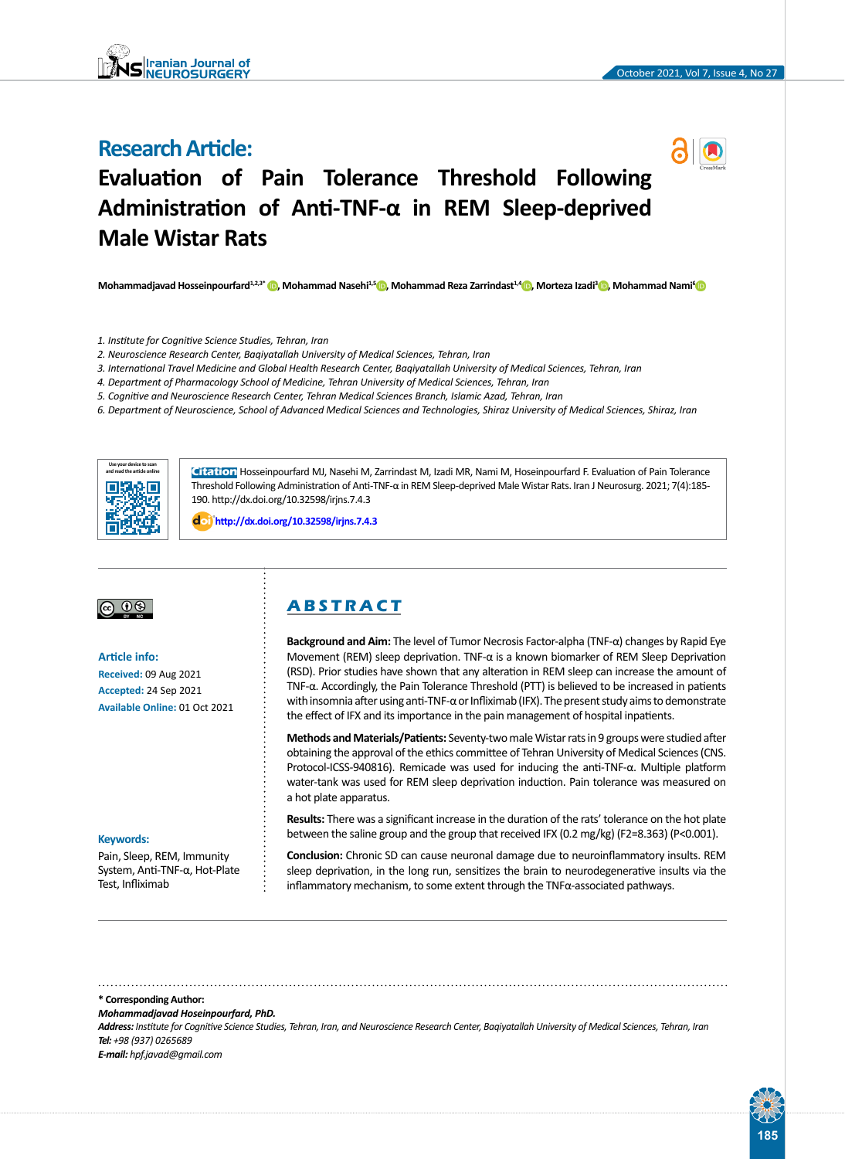# **Research Article:**



# **Evaluation of Pain Tolerance Threshold Following Administration of Anti-TNF-α in REM Sleep-deprived Male Wistar Rats**

**Mohammadjavad Hosseinpourfard1,2,3\* [,](https://orcid.org/0000-0002-9402-506X) Mohammad Nasehi1,5 [,](https://orcid.org/0000-0002-1981-3592) Mohammad Reza Zarrindast1,4 [,](https://orcid.org/0000-0002-0688-5378) Morteza Izadi<sup>3</sup> [,](https://orcid.org/0000-0002-2046-6321) Mohammad Nami[6](https://orcid.org/0000-0003-1410-5340)**

- *1. Institute for Cognitive Science Studies, Tehran, Iran*
- *2. Neuroscience Research Center, Baqiyatallah University of Medical Sciences, Tehran, Iran*
- *3. International Travel Medicine and Global Health Research Center, Baqiyatallah University of Medical Sciences, Tehran, Iran*
- *4. Department of Pharmacology School of Medicine, Tehran University of Medical Sciences, Tehran, Iran*
- *5. Cognitive and Neuroscience Research Center, Tehran Medical Sciences Branch, Islamic Azad, Tehran, Iran*
- *6. Department of Neuroscience, School of Advanced Medical Sciences and Technologies, Shiraz University of Medical Sciences, Shiraz, Iran*



**Citation** Hosseinpourfard MJ, Nasehi M, Zarrindast M, Izadi MR, Nami M, Hoseinpourfard F. Evaluation of Pain Tolerance Threshold Following Administration of Anti-TNF-α in REM Sleep-deprived Male Wistar Rats. Iran J Neurosurg. 2021; 7(4):185- 190. http://dx.doi.org/10.32598/irjns.7.4.3

: **<http://dx.doi.org/10.32598/irjns.7.4.3>**

# $\circledcirc$   $\circledcirc$

**Article info: Received:** 09 Aug 2021 **Accepted:** 24 Sep 2021 **Available Online:** 01 Oct 2021

#### **Keywords:**

Pain, Sleep, REM, Immunity System, Anti-TNF-α, Hot-Plate Test, Infliximab

# **A B S T R A C T**

**Background and Aim:** The level of Tumor Necrosis Factor-alpha (TNF-α) changes by Rapid Eye Movement (REM) sleep deprivation. TNF-α is a known biomarker of REM Sleep Deprivation (RSD). Prior studies have shown that any alteration in REM sleep can increase the amount of TNF-α. Accordingly, the Pain Tolerance Threshold (PTT) is believed to be increased in patients with insomnia after using anti-TNF-α or Infliximab (IFX). The present study aims to demonstrate the effect of IFX and its importance in the pain management of hospital inpatients.

**Methods and Materials/Patients:** Seventy-two male Wistar rats in 9 groups were studied after obtaining the approval of the ethics committee of Tehran University of Medical Sciences (CNS. Protocol-ICSS-940816). Remicade was used for inducing the anti-TNF-α. Multiple platform water-tank was used for REM sleep deprivation induction. Pain tolerance was measured on a hot plate apparatus.

**Results:** There was a significant increase in the duration of the rats' tolerance on the hot plate between the saline group and the group that received IFX (0.2 mg/kg) (F2=8.363) (P<0.001).

**Conclusion:** Chronic SD can cause neuronal damage due to neuroinflammatory insults. REM sleep deprivation, in the long run, sensitizes the brain to neurodegenerative insults via the inflammatory mechanism, to some extent through the TNFα-associated pathways.

#### **\* Corresponding Author:**

*Mohammadjavad Hoseinpourfard, PhD.*

*Address: Institute for Cognitive Science Studies, Tehran, Iran, and Neuroscience Research Center, Baqiyatallah University of Medical Sciences, Tehran, Iran Tel: +98 (937) 0265689*

*E-mail: hpf.javad@gmail.com*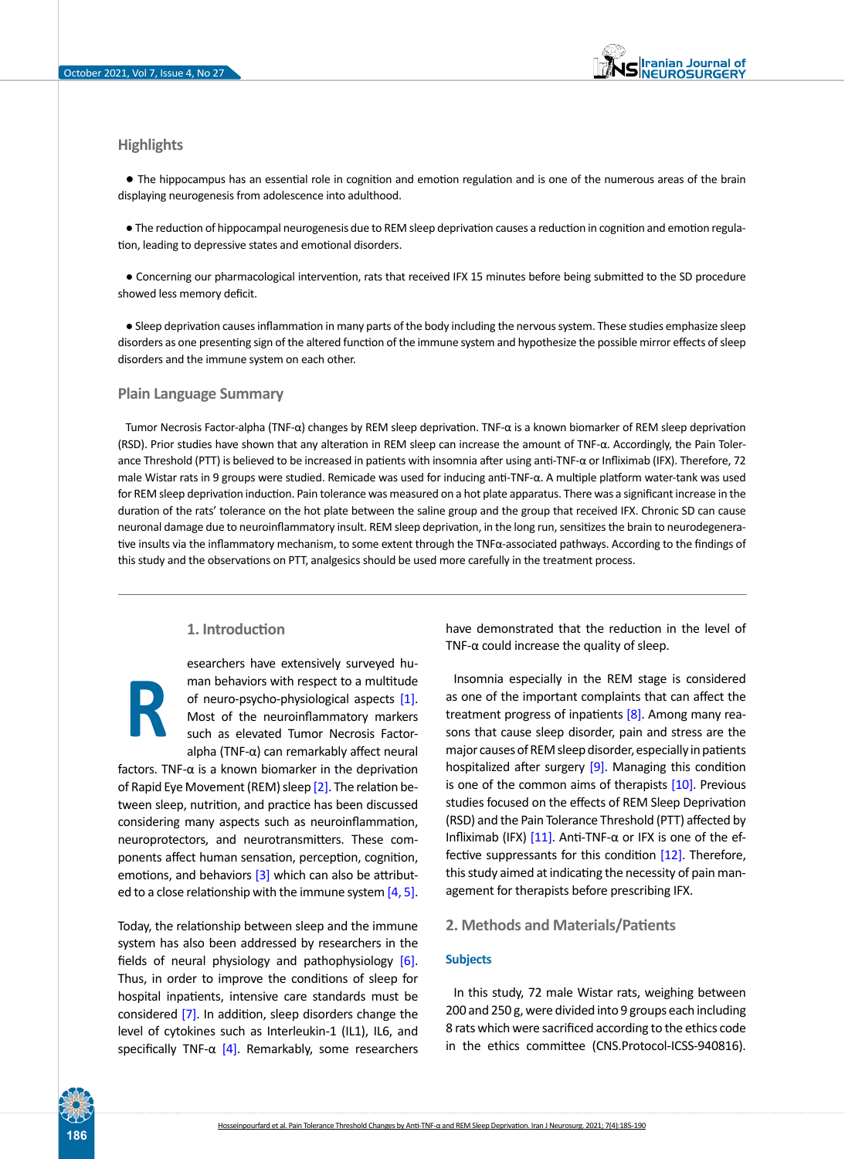## **Highlights**

● The hippocampus has an essential role in cognition and emotion regulation and is one of the numerous areas of the brain displaying neurogenesis from adolescence into adulthood.

● The reduction of hippocampal neurogenesis due to REM sleep deprivation causes a reduction in cognition and emotion regulation, leading to depressive states and emotional disorders.

● Concerning our pharmacological intervention, rats that received IFX 15 minutes before being submitted to the SD procedure showed less memory deficit.

● Sleep deprivation causes inflammation in many parts of the body including the nervous system. These studies emphasize sleep disorders as one presenting sign of the altered function of the immune system and hypothesize the possible mirror effects of sleep disorders and the immune system on each other.

#### **Plain Language Summary**

Tumor Necrosis Factor-alpha (TNF-α) changes by REM sleep deprivation. TNF-α is a known biomarker of REM sleep deprivation (RSD). Prior studies have shown that any alteration in REM sleep can increase the amount of TNF-α. Accordingly, the Pain Tolerance Threshold (PTT) is believed to be increased in patients with insomnia after using anti-TNF-α or Infliximab (IFX). Therefore, 72 male Wistar rats in 9 groups were studied. Remicade was used for inducing anti-TNF-α. A multiple platform water-tank was used for REM sleep deprivation induction. Pain tolerance was measured on a hot plate apparatus. There was a significant increase in the duration of the rats' tolerance on the hot plate between the saline group and the group that received IFX. Chronic SD can cause neuronal damage due to neuroinflammatory insult. REM sleep deprivation, in the long run, sensitizes the brain to neurodegenerative insults via the inflammatory mechanism, to some extent through the TNFα-associated pathways. According to the findings of this study and the observations on PTT, analgesics should be used more carefully in the treatment process.

# **1. Introduction**

esearchers have extensively surveyed human behaviors with respect to a multitude of neuro-psycho-physiological aspects [\[1\]](#page-4-0). Most of the neuroinflammatory markers such as elevated Tumor Necrosis Factoralpha (TNF-α) can remarkably affect neural

factors. TNF- $\alpha$  is a known biomarker in the deprivation of Rapid Eye Movement (REM) sleep [\[2\].](#page-4-1) The relation between sleep, nutrition, and practice has been discussed considering many aspects such as neuroinflammation, neuroprotectors, and neurotransmitters. These components affect human sensation, perception, cognition, emotions, and behaviors [\[3\]](#page-4-2) which can also be attributed to a close relationship with the immune system  $[4, 5]$  $[4, 5]$  $[4, 5]$ . **R**

Today, the relationship between sleep and the immune system has also been addressed by researchers in the fields of neural physiology and pathophysiology [\[6\]](#page-5-1). Thus, in order to improve the conditions of sleep for hospital inpatients, intensive care standards must be considered [\[7\].](#page-5-2) In addition, sleep disorders change the level of cytokines such as Interleukin-1 (IL1), IL6, and specifically TNF- $\alpha$  [\[4\]](#page-4-3). Remarkably, some researchers have demonstrated that the reduction in the level of TNF- $\alpha$  could increase the quality of sleep.

Insomnia especially in the REM stage is considered as one of the important complaints that can affect the treatment progress of inpatients [\[8\].](#page-5-3) Among many reasons that cause sleep disorder, pain and stress are the major causes of REM sleep disorder, especially in patients hospitalized after surgery [9]. Managing this condition is one of the common aims of therapists  $[10]$ . Previous studies focused on the effects of REM Sleep Deprivation (RSD) and the Pain Tolerance Threshold (PTT) affected by Infliximab (IFX) [\[11\]](#page-5-5). Anti-TNF-α or IFX is one of the effective suppressants for this condition [\[12\]](#page-5-6). Therefore, this study aimed at indicating the necessity of pain management for therapists before prescribing IFX.

#### **2. Methods and Materials/Patients**

## **Subjects**

In this study, 72 male Wistar rats, weighing between 200 and 250 g, were divided into 9 groups each including 8 rats which were sacrificed according to the ethics code in the ethics committee (CNS.Protocol-ICSS-940816).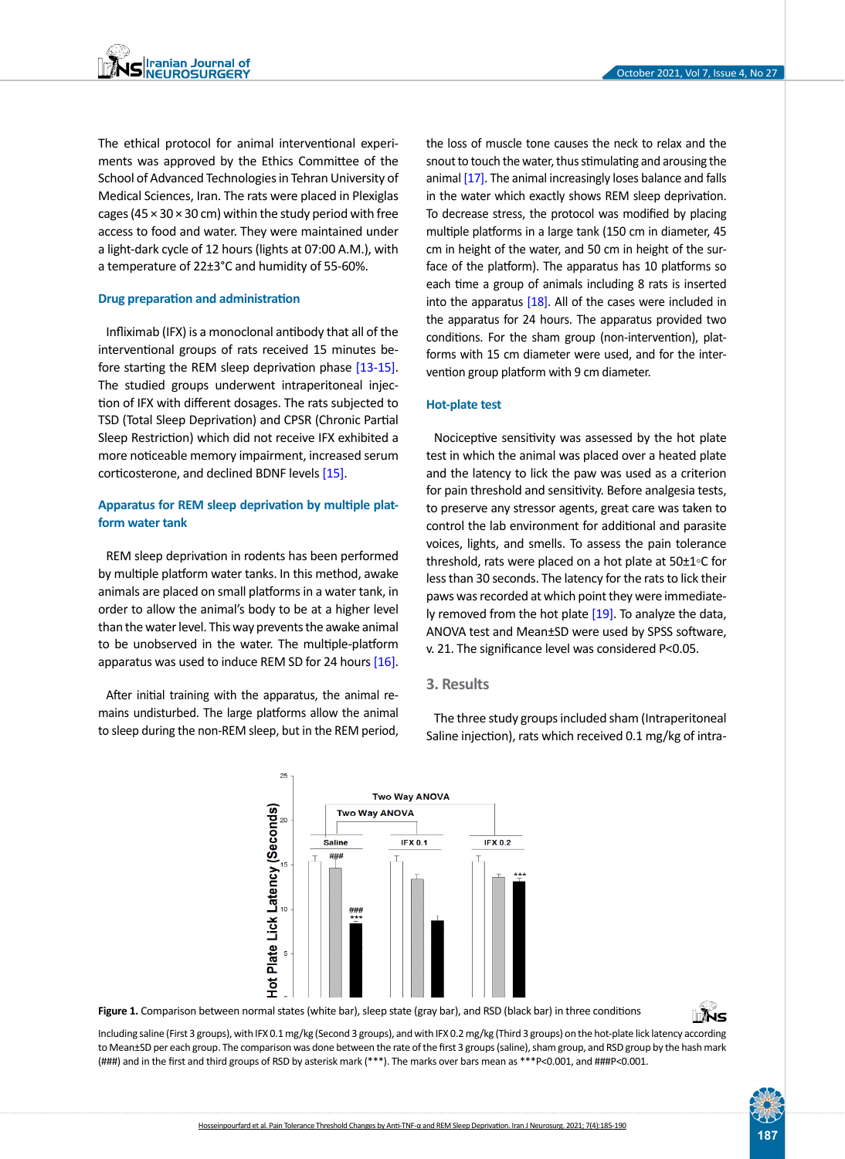The ethical protocol for animal interventional experiments was approved by the Ethics Committee of the School of Advanced Technologies in Tehran University of Medical Sciences, Iran. The rats were placed in Plexiglas cages (45  $\times$  30  $\times$  30 cm) within the study period with free access to food and water. They were maintained under a light-dark cycle of 12 hours (lights at 07:00 A.M.), with a temperature of 22±3°C and humidity of 55-60%.

#### **Drug preparation and administration**

Infliximab (IFX) is a monoclonal antibody that all of the interventional groups of rats received 15 minutes before starting the REM sleep deprivation phase [\[13-15\]](#page-5-7). The studied groups underwent intraperitoneal injection of IFX with different dosages. The rats subjected to TSD (Total Sleep Deprivation) and CPSR (Chronic Partial Sleep Restriction) which did not receive IFX exhibited a more noticeable memory impairment, increased serum corticosterone, and declined BDNF levels [\[15\]](#page-5-8).

# **Apparatus for REM sleep deprivation by multiple platform water tank**

REM sleep deprivation in rodents has been performed by multiple platform water tanks. In this method, awake animals are placed on small platforms in a water tank, in order to allow the animal's body to be at a higher level than the water level. This way prevents the awake animal to be unobserved in the water. The multiple-platform apparatus was used to induce REM SD for 24 hours  $[16]$ .

After initial training with the apparatus, the animal remains undisturbed. The large platforms allow the animal to sleep during the non-REM sleep, but in the REM period,

 $25$ 

 $\overline{5}$ 

the loss of muscle tone causes the neck to relax and the snout to touch the water, thus stimulating and arousing the animal [\[17\].](#page-5-10) The animal increasingly loses balance and falls in the water which exactly shows REM sleep deprivation. To decrease stress, the protocol was modified by placing multiple platforms in a large tank (150 cm in diameter, 45 cm in height of the water, and 50 cm in height of the surface of the platform). The apparatus has 10 platforms so each time a group of animals including 8 rats is inserted into the apparatus [\[18\]](#page-5-11). All of the cases were included in the apparatus for 24 hours. The apparatus provided two conditions. For the sham group (non-intervention), platforms with 15 cm diameter were used, and for the intervention group platform with 9 cm diameter.

#### **Hot-plate test**

Nociceptive sensitivity was assessed by the hot plate test in which the animal was placed over a heated plate and the latency to lick the paw was used as a criterion for pain threshold and sensitivity. Before analgesia tests, to preserve any stressor agents, great care was taken to control the lab environment for additional and parasite voices, lights, and smells. To assess the pain tolerance threshold, rats were placed on a hot plate at 50±1◦C for less than 30 seconds. The latency for the rats to lick their paws was recorded at which point they were immediately removed from the hot plate  $[19]$ . To analyze the data, ANOVA test and Mean±SD were used by SPSS software, v. 21. The significance level was considered P<0.05.

# **3. Results**

**IFX 0.2** 

The three study groups included sham (Intraperitoneal Saline injection), rats which received 0.1 mg/kg of intra-



Plate Lick Latency (Seconds)

**Two Way ANOVA** 

**IFX 0.1** 

**Two Way ANOVA** 

**Saline** 

<span id="page-2-0"></span>**Figure 1.** Comparison between normal states (white bar), sleep state (gray bar), and RSD (black bar) in three conditions

Including saline (First 3 groups), with IFX 0.1 mg/kg (Second 3 groups), and with IFX 0.2 mg/kg (Third 3 groups) on the hot-plate lick latency according to Mean±SD per each group. The comparison was done between the rate of the first 3 groups (saline), sham group, and RSD group by the hash mark (###) and in the first and third groups of RSD by asterisk mark (\*\*\*). The marks over bars mean as \*\*\*P<0.001, and ###P<0.001.

∏∦ੱੇ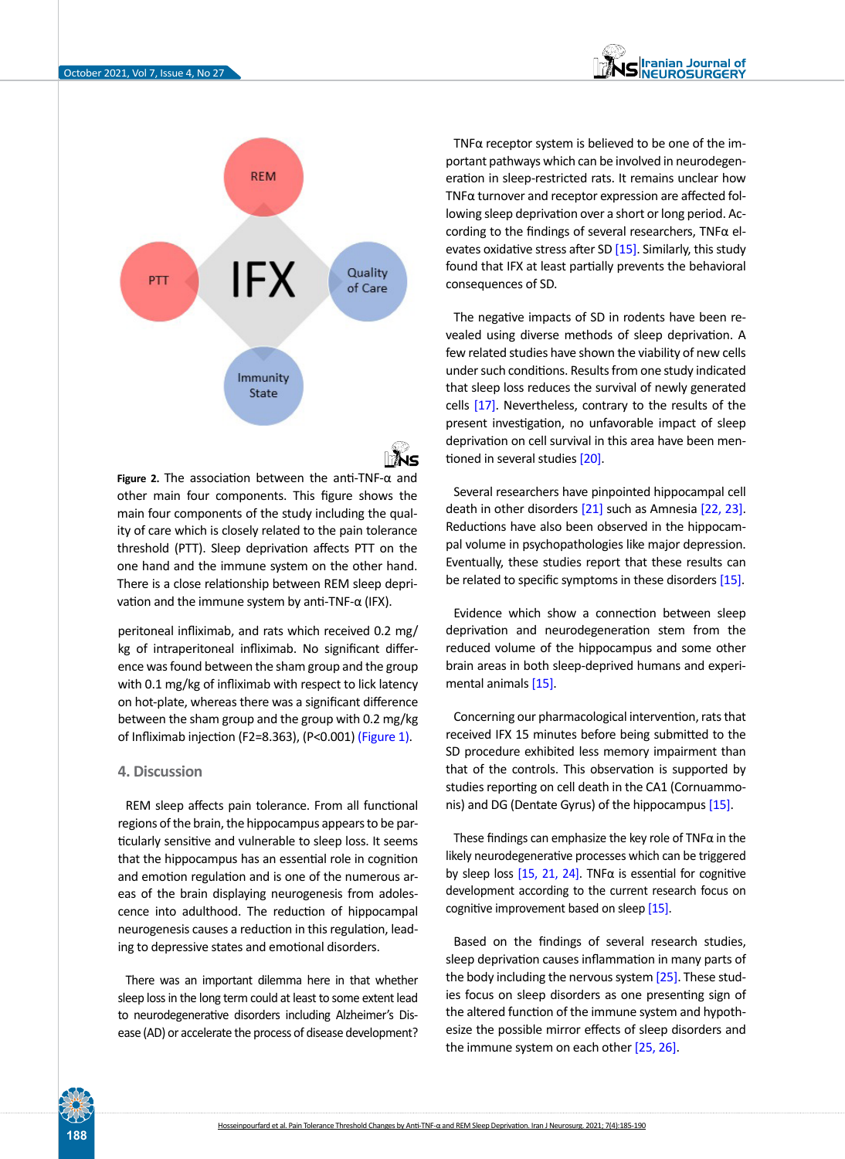

<span id="page-3-0"></span>**Figure 2.** The association between the anti-TNF-α and other main four components. This figure shows the main four components of the study including the quality of care which is closely related to the pain tolerance threshold (PTT). Sleep deprivation affects PTT on the one hand and the immune system on the other hand. There is a close relationship between REM sleep deprivation and the immune system by anti-TNF- $α$  (IFX).

peritoneal infliximab, and rats which received 0.2 mg/ kg of intraperitoneal infliximab. No significant difference was found between the sham group and the group with 0.1 mg/kg of infliximab with respect to lick latency on hot-plate, whereas there was a significant difference between the sham group and the group with 0.2 mg/kg of Infliximab injection (F2=8.363), (P<0.001) [\(Figure 1\)](#page-2-0).

## **4. Discussion**

REM sleep affects pain tolerance. From all functional regions of the brain, the hippocampus appears to be particularly sensitive and vulnerable to sleep loss. It seems that the hippocampus has an essential role in cognition and emotion regulation and is one of the numerous areas of the brain displaying neurogenesis from adolescence into adulthood. The reduction of hippocampal neurogenesis causes a reduction in this regulation, leading to depressive states and emotional disorders.

There was an important dilemma here in that whether sleep loss in the long term could at least to some extent lead to neurodegenerative disorders including Alzheimer's Disease (AD) or accelerate the process of disease development?

TNFα receptor system is believed to be one of the important pathways which can be involved in neurodegeneration in sleep-restricted rats. It remains unclear how TNFα turnover and receptor expression are affected following sleep deprivation over a short or long period. According to the findings of several researchers, TNFα elevates oxidative stress after SD [\[15\].](#page-5-8) Similarly, this study found that IFX at least partially prevents the behavioral consequences of SD.

The negative impacts of SD in rodents have been revealed using diverse methods of sleep deprivation. A few related studies have shown the viability of new cells under such conditions. Results from one study indicated that sleep loss reduces the survival of newly generated cells [\[17\].](#page-5-10) Nevertheless, contrary to the results of the present investigation, no unfavorable impact of sleep deprivation on cell survival in this area have been mentioned in several studies [\[20\].](#page-5-13)

Several researchers have pinpointed hippocampal cell death in other disorders [\[21\]](#page-5-14) such as Amnesia [\[22,](#page-5-15) [23\]](#page-5-16). Reductions have also been observed in the hippocampal volume in psychopathologies like major depression. Eventually, these studies report that these results can be related to specific symptoms in these disorders [\[15\]](#page-5-8).

Evidence which show a connection between sleep deprivation and neurodegeneration stem from the reduced volume of the hippocampus and some other brain areas in both sleep-deprived humans and experimental animals [\[15\]](#page-5-8).

Concerning our pharmacological intervention, rats that received IFX 15 minutes before being submitted to the SD procedure exhibited less memory impairment than that of the controls. This observation is supported by studies reporting on cell death in the CA1 (Cornuammonis) and DG (Dentate Gyrus) of the hippocampus [\[15\]](#page-5-8).

These findings can emphasize the key role of  $TNF\alpha$  in the likely neurodegenerative processes which can be triggered by sleep loss  $[15, 21, 24]$  $[15, 21, 24]$  $[15, 21, 24]$  $[15, 21, 24]$ . TNF $\alpha$  is essential for cognitive development according to the current research focus on cognitive improvement based on sleep [\[15\].](#page-5-8)

Based on the findings of several research studies, sleep deprivation causes inflammation in many parts of the body including the nervous system [\[25\]](#page-5-17). These studies focus on sleep disorders as one presenting sign of the altered function of the immune system and hypothesize the possible mirror effects of sleep disorders and the immune system on each other [\[25,](#page-5-17) [26\]](#page-5-18).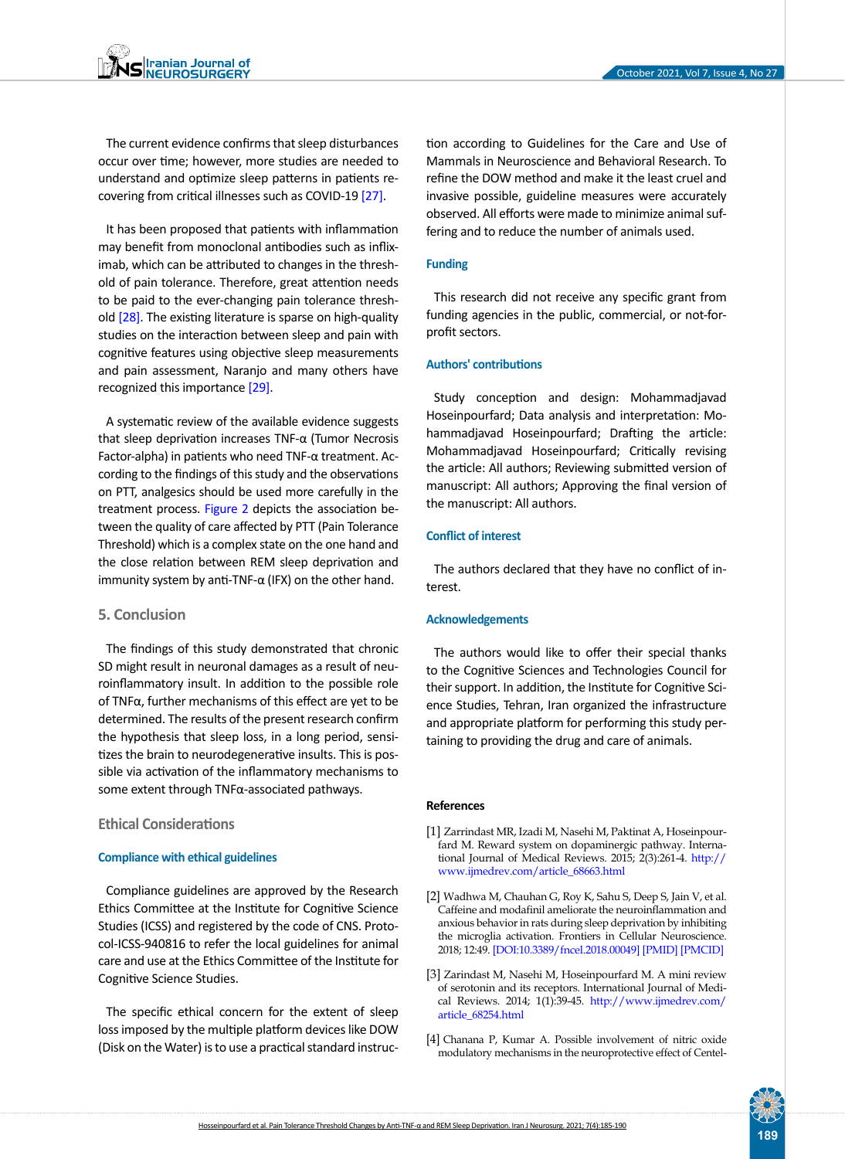The current evidence confirms that sleep disturbances occur over time; however, more studies are needed to understand and optimize sleep patterns in patients re-covering from critical illnesses such as COVID-19 [\[27\]](#page-5-19).

It has been proposed that patients with inflammation may benefit from monoclonal antibodies such as infliximab, which can be attributed to changes in the threshold of pain tolerance. Therefore, great attention needs to be paid to the ever-changing pain tolerance thresh-old [\[28\]](#page-5-20). The existing literature is sparse on high-quality studies on the interaction between sleep and pain with cognitive features using objective sleep measurements and pain assessment, Naranjo and many others have recognized this importance [29].

A systematic review of the available evidence suggests that sleep deprivation increases TNF-α (Tumor Necrosis Factor-alpha) in patients who need TNF-α treatment. According to the findings of this study and the observations on PTT, analgesics should be used more carefully in the treatment process. [Figure 2](#page-3-0) depicts the association between the quality of care affected by PTT (Pain Tolerance Threshold) which is a complex state on the one hand and the close relation between REM sleep deprivation and immunity system by anti-TNF- $\alpha$  (IFX) on the other hand.

## **5. Conclusion**

The findings of this study demonstrated that chronic SD might result in neuronal damages as a result of neuroinflammatory insult. In addition to the possible role of TNFα, further mechanisms of this effect are yet to be determined. The results of the present research confirm the hypothesis that sleep loss, in a long period, sensitizes the brain to neurodegenerative insults. This is possible via activation of the inflammatory mechanisms to some extent through TNFα-associated pathways.

## **Ethical Considerations**

#### **Compliance with ethical guidelines**

Compliance guidelines are approved by the Research Ethics Committee at the Institute for Cognitive Science Studies (ICSS) and registered by the code of CNS. Protocol-ICSS-940816 to refer the local guidelines for animal care and use at the Ethics Committee of the Institute for Cognitive Science Studies.

The specific ethical concern for the extent of sleep loss imposed by the multiple platform devices like DOW (Disk on the Water) is to use a practical standard instruction according to Guidelines for the Care and Use of Mammals in Neuroscience and Behavioral Research. To refine the DOW method and make it the least cruel and invasive possible, guideline measures were accurately observed. All efforts were made to minimize animal suffering and to reduce the number of animals used.

#### **Funding**

This research did not receive any specific grant from funding agencies in the public, commercial, or not-forprofit sectors.

#### **Authors' contributions**

Study conception and design: Mohammadjavad Hoseinpourfard; Data analysis and interpretation: Mohammadjavad Hoseinpourfard; Drafting the article: Mohammadjavad Hoseinpourfard; Critically revising the article: All authors; Reviewing submitted version of manuscript: All authors; Approving the final version of the manuscript: All authors.

#### **Conflict of interest**

The authors declared that they have no conflict of interest.

#### **Acknowledgements**

The authors would like to offer their special thanks to the Cognitive Sciences and Technologies Council for their support. In addition, the Institute for Cognitive Science Studies, Tehran, Iran organized the infrastructure and appropriate platform for performing this study pertaining to providing the drug and care of animals.

#### **References**

- <span id="page-4-0"></span>[1] Zarrindast MR, Izadi M, Nasehi M, Paktinat A, Hoseinpourfard M. Reward system on dopaminergic pathway. International Journal of Medical Reviews. 2015; 2(3):261-4. [http://](http://www.ijmedrev.com/article_68663.html) [www.ijmedrev.com/article\\_68663.html](http://www.ijmedrev.com/article_68663.html)
- <span id="page-4-1"></span>[2] Wadhwa M, Chauhan G, Roy K, Sahu S, Deep S, Jain V, et al. Caffeine and modafinil ameliorate the neuroinflammation and anxious behavior in rats during sleep deprivation by inhibiting the microglia activation. Frontiers in Cellular Neuroscience. 2018; 12:49. [\[DOI:10.3389/fncel.2018.00049](https://doi.org/10.3389/fncel.2018.00049)] [\[PMID\]](https://www.ncbi.nlm.nih.gov/pubmed/29599709) [[PMCID\]](http://www.ncbi.nlm.nih.gov/pmc/articles/PMC5863523)
- <span id="page-4-2"></span>[3] Zarindast M, Nasehi M, Hoseinpourfard M. A mini review of serotonin and its receptors. International Journal of Medical Reviews. 2014; 1(1):39-45. [http://www.ijmedrev.com/](http://www.ijmedrev.com/article_68254.html) [article\\_68254.html](http://www.ijmedrev.com/article_68254.html)
- <span id="page-4-3"></span>[4] Chanana P, Kumar A. Possible involvement of nitric oxide modulatory mechanisms in the neuroprotective effect of Centel-